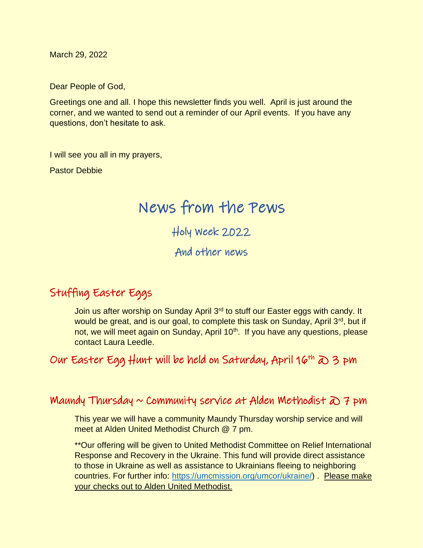March 29, 2022

Dear People of God,

Greetings one and all. I hope this newsletter finds you well. April is just around the corner, and we wanted to send out a reminder of our April events. If you have any questions, don't hesitate to ask.

I will see you all in my prayers,

Pastor Debbie

# News from the Pews

Holy Week 2022

And other news

## Stuffing Easter Eggs

Join us after worship on Sunday April 3<sup>rd</sup> to stuff our Easter eggs with candy. It would be great, and is our goal, to complete this task on Sunday, April 3<sup>rd</sup>, but if not, we will meet again on Sunday, April 10<sup>th</sup>. If you have any questions, please contact Laura Leedle.

Our Easter Egg Hunt will be held on Saturday, April 16th  $\infty$  3 pm

## Maundy Thursday  $\sim$  Community service at Alden Methodist  $\partial \Omega$  7 pm

This year we will have a community Maundy Thursday worship service and will meet at Alden United Methodist Church @ 7 pm.

\*\*Our offering will be given to United Methodist Committee on Relief International Response and Recovery in the Ukraine. This fund will provide direct assistance to those in Ukraine as well as assistance to Ukrainians fleeing to neighboring countries. For further info: [https://umcmission.org/umcor/ukraine/\)](https://umcmission.org/umcor/ukraine/) . Please make your checks out to Alden United Methodist.